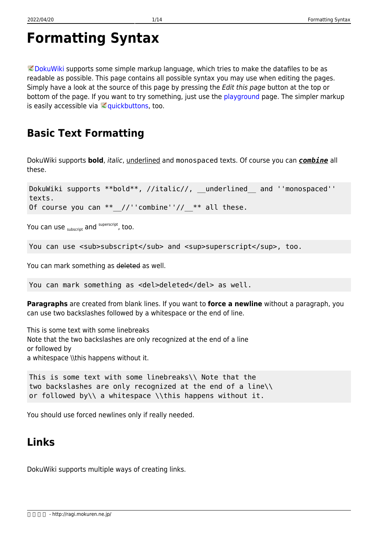# <span id="page-0-0"></span>**Formatting Syntax**

 $\heartsuit$  [DokuWiki](https://www.dokuwiki.org/DokuWiki) supports some simple markup language, which tries to make the datafiles to be as readable as possible. This page contains all possible syntax you may use when editing the pages. Simply have a look at the source of this page by pressing the Edit this page button at the top or bottom of the page. If you want to try something, just use the [playground](http://ragi.mokuren.ne.jp/playground/playground) page. The simpler markup is easily accessible via  $\leq$  [quickbuttons,](https://www.dokuwiki.org/toolbar) too.

# **Basic Text Formatting**

DokuWiki supports **bold**, italic, underlined and monospaced texts. Of course you can *combine* all these.

```
DokuWiki supports **bold**, //italic//, __underlined and ''monospaced''
texts.
Of course you can ** //''combine''// ** all these.
```
You can use  $_{\text{subscript}}$  and  $^{\text{superscript}}$ , too.

```
You can use <sub>subscript</sub> and <sup>superscript</sup>, too.
```
You can mark something as deleted as well.

You can mark something as <del>deleted</del> as well.

**Paragraphs** are created from blank lines. If you want to **force a newline** without a paragraph, you can use two backslashes followed by a whitespace or the end of line.

This is some text with some linebreaks Note that the two backslashes are only recognized at the end of a line or followed by a whitespace \\this happens without it.

```
This is some text with some linebreaks\\ Note that the
two backslashes are only recognized at the end of a line\\
or followed by\\ a whitespace \\this happens without it.
```
You should use forced newlines only if really needed.

# <span id="page-0-1"></span>**Links**

DokuWiki supports multiple ways of creating links.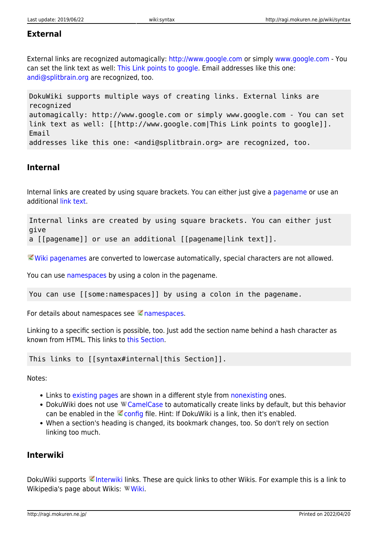### **External**

External links are recognized automagically:<http://www.google.com>or simply [www.google.com](http://www.google.com) - You can set the link text as well: [This Link points to google](http://www.google.com). Email addresses like this one: [andi@splitbrain.org](mailto:andi@splitbrain.org) are recognized, too.

```
DokuWiki supports multiple ways of creating links. External links are
recognized
automagically: http://www.google.com or simply www.google.com - You can set
link text as well: [[http://www.google.com|This Link points to google]].
Email
addresses like this one: <andi@splitbrain.org> are recognized, too.
```
## <span id="page-1-0"></span>**Internal**

Internal links are created by using square brackets. You can either just give a [pagename](http://ragi.mokuren.ne.jp/wiki/pagename) or use an additional [link text](http://ragi.mokuren.ne.jp/wiki/pagename).

Internal links are created by using square brackets. You can either just give a [[pagename]] or use an additional [[pagename|link text]].

[Wiki pagenames](https://www.dokuwiki.org/pagename) are converted to lowercase automatically, special characters are not allowed.

You can use [namespaces](http://ragi.mokuren.ne.jp/some/namespaces) by using a colon in the pagename.

You can use [[some:namespaces]] by using a colon in the pagename.

For details about [namespaces](https://www.dokuwiki.org/namespaces) see  $\leq$  namespaces.

Linking to a specific section is possible, too. Just add the section name behind a hash character as known from HTML. This links to [this Section.](#page-1-0)

This links to [[syntax#internal|this Section]].

Notes:

- Links to [existing pages](#page-0-0) are shown in a different style from [nonexisting](http://ragi.mokuren.ne.jp/wiki/nonexisting) ones.
- DokuWiki does not use W [CamelCase](https://en.wikipedia.org/wiki/CamelCase) to automatically create links by default, but this behavior can be enabled in the  $\leq$  [config](https://www.dokuwiki.org/config) file. Hint: If DokuWiki is a link, then it's enabled.
- When a section's heading is changed, its bookmark changes, too. So don't rely on section linking too much.

## **Interwiki**

DokuWiki supports [Interwiki](https://www.dokuwiki.org/Interwiki) links. These are quick links to other Wikis. For example this is a link to Wikipedia's page about [Wiki](https://en.wikipedia.org/wiki/Wiki)s: WWiki.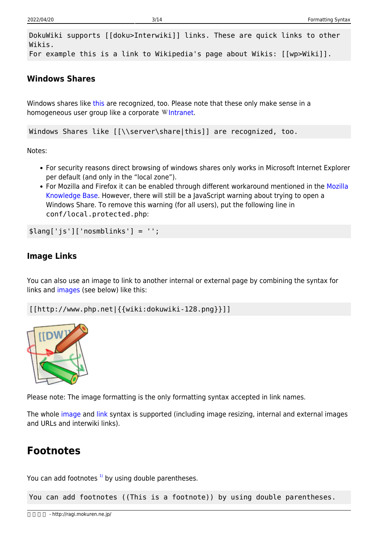DokuWiki supports [[doku>Interwiki]] links. These are quick links to other Wikis. For example this is a link to Wikipedia's page about Wikis: [[wp>Wiki]].

### **Windows Shares**

Windows shares like [this](#page--1-0) are recognized, too. Please note that these only make sense in a homogeneous user group like a corporate W[Intranet](https://en.wikipedia.org/wiki/Intranet).

Windows Shares like [[\\server\share|this]] are recognized, too.

Notes:

- For security reasons direct browsing of windows shares only works in Microsoft Internet Explorer per default (and only in the "local zone").
- For Mozilla and Firefox it can be enabled through different workaround mentioned in the [Mozilla](http://kb.mozillazine.org/Links_to_local_pages_do_not_work) [Knowledge Base](http://kb.mozillazine.org/Links_to_local_pages_do_not_work). However, there will still be a JavaScript warning about trying to open a Windows Share. To remove this warning (for all users), put the following line in conf/local.protected.php:

\$lang['js']['nosmblinks'] = '';

## <span id="page-2-0"></span>**Image Links**

You can also use an image to link to another internal or external page by combining the syntax for links and [images](#page-3-0) (see below) like this:

```
[[http://www.php.net|{{wiki:dokuwiki-128.png}}]]
```


Please note: The image formatting is the only formatting syntax accepted in link names.

The whole [image](#page-3-0) and [link](#page-0-1) syntax is supported (including image resizing, internal and external images and URLs and interwiki links).

## **Footnotes**

You can add footnotes  $1$ <sup>t</sup> by using double parentheses.

You can add footnotes ((This is a footnote)) by using double parentheses.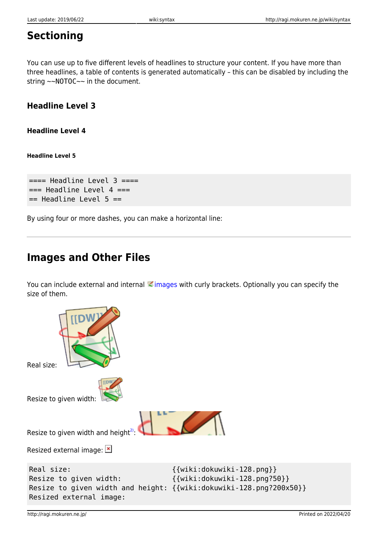# **Sectioning**

You can use up to five different levels of headlines to structure your content. If you have more than three headlines, a table of contents is generated automatically – this can be disabled by including the string ~~NOTOC~~ in the document.

## **Headline Level 3**

**Headline Level 4**

**Headline Level 5**

```
=== Headline Level 3 ====== Headline Level 4 ===
== Headline Level 5 ==
```
By using four or more dashes, you can make a horizontal line:

## <span id="page-3-0"></span>**Images and Other Files**

You can include external and internal [images](https://www.dokuwiki.org/images) with curly brackets. Optionally you can specify the size of them.

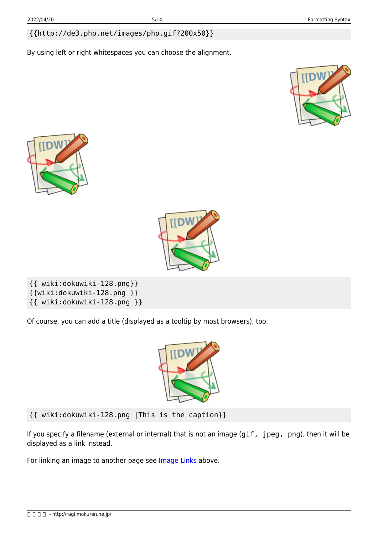### {{http://de3.php.net/images/php.gif?200x50}}

By using left or right whitespaces you can choose the alignment.







{{ wiki:dokuwiki-128.png}} {{wiki:dokuwiki-128.png }}

{{ wiki:dokuwiki-128.png }}

Of course, you can add a title (displayed as a tooltip by most browsers), too.



{{ wiki:dokuwiki-128.png |This is the caption}}

If you specify a filename (external or internal) that is not an image (gif, jpeg, png), then it will be displayed as a link instead.

For linking an image to another page see [Image Links](#page-2-0) above.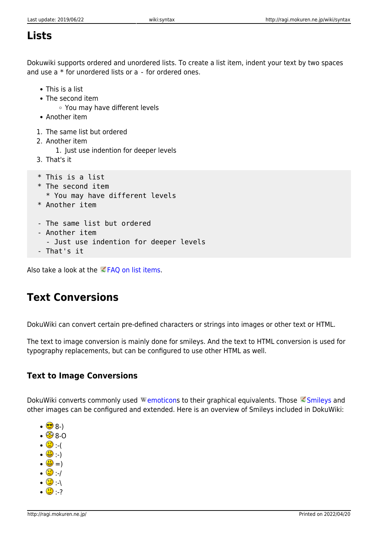## **Lists**

Dokuwiki supports ordered and unordered lists. To create a list item, indent your text by two spaces and use a \* for unordered lists or a - for ordered ones.

- This is a list
- The second item
	- You may have different levels
- Another item
- 1. The same list but ordered
- 2. Another item
	- 1. Just use indention for deeper levels
- 3. That's it
- \* This is a list
- \* The second item
	- \* You may have different levels
- \* Another item
- The same list but ordered
- Another item
	- Just use indention for deeper levels
- That's it

Also take a look at the  $\leq$  [FAQ on list items.](https://www.dokuwiki.org/faq%3Alists)

# **Text Conversions**

DokuWiki can convert certain pre-defined characters or strings into images or other text or HTML.

The text to image conversion is mainly done for smileys. And the text to HTML conversion is used for typography replacements, but can be configured to use other HTML as well.

## **Text to Image Conversions**

DokuWiki converts commonly used Wemoticons to their graphical equivalents. Those [Smileys](https://www.dokuwiki.org/Smileys) and other images can be configured and extended. Here is an overview of Smileys included in DokuWiki:

- $\cdot$   $\bullet$  8-)  $\cdot$   $\circledcirc$  8-O
- $\cdot$   $\circ$   $\cdot$  (
- :-)
- $\cdot$  (  $\bigoplus$   $=$  )
- $\cdot$  0  $\cdot$  /
- $\cdot$   $\circ$   $\cdot$   $\cdot$
- :-?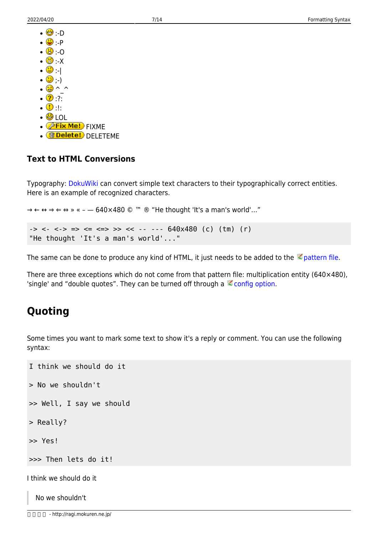| $\bigoplus$ : D               |  |
|-------------------------------|--|
| ◉₽                            |  |
| $\mathbf{G}$ : 0              |  |
| $\bigotimes$ X                |  |
| $\bullet$ 1                   |  |
| $\mathbf{\odot}$ )            |  |
| ۳                             |  |
| $\bf{O}$<br>$\cdot$ ? $\cdot$ |  |
| ◑<br>٠١٠                      |  |
| ⊜<br>LOL                      |  |
| <mark>Me!)</mark> FIXME       |  |

• <mark>fidelete!</mark> DELETEME

## **Text to HTML Conversions**

Typography: [DokuWiki](http://ragi.mokuren.ne.jp/wiki/dokuwiki) can convert simple text characters to their typographically correct entities. Here is an example of recognized characters.

 $\rightarrow \leftarrow \leftrightarrow \Rightarrow \Leftarrow \Rightarrow \ast \leftarrow -640 \times 480$  © ™ ® "He thought 'It's a man's world'..."  $\rightarrow$  <- <-> => <= <=> >> << -- --- 640x480 (c) (tm) (r) "He thought 'It's a man's world'..."

The same can be done to produce any kind of HTML, it just needs to be added to the  $\leq$  [pattern file](https://www.dokuwiki.org/entities).

There are three exceptions which do not come from that pattern file: multiplication entity (640×480), 'single' and "double quotes". They can be turned off through a  $\leq$  [config option](https://www.dokuwiki.org/config%3Atypography).

# **Quoting**

Some times you want to mark some text to show it's a reply or comment. You can use the following syntax:

```
I think we should do it
> No we shouldn't
>> Well, I say we should
> Really?
>> Yes!
>>> Then lets do it!
I think we should do it
  No we shouldn't
```
<sup>-</sup> http://ragi.mokuren.ne.jp/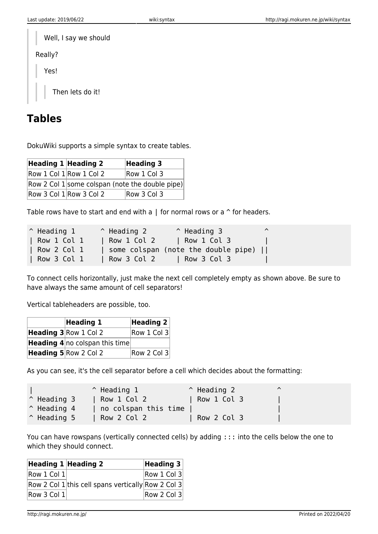| Well, I say we should |  |  |  |
|-----------------------|--|--|--|
| Really?               |  |  |  |
| Yes!                  |  |  |  |
| Then lets do it!      |  |  |  |

# **Tables**

DokuWiki supports a simple syntax to create tables.

| Heading $1$ Heading 2                           |                             | <b>Heading 3</b> |
|-------------------------------------------------|-----------------------------|------------------|
|                                                 | $Row 1$ Col $1 Row 1$ Col 2 | Row 1 Col 3      |
| Row 2 Col 1 some colspan (note the double pipe) |                             |                  |
|                                                 | Row 3 Col $1$ Row 3 Col 2   | Row 3 Col 3      |

Table rows have to start and end with a  $\parallel$  for normal rows or a  $\hat{ }$  for headers.

| $^{\wedge}$ Heading 1 | $\hat{ }$ Heading 2 | $^{\circ}$ Heading 3                | ⌒ |  |
|-----------------------|---------------------|-------------------------------------|---|--|
| Row 1 Col 1           | $\vert$ Row 1 Col 2 | $\vert$ Row 1 Col 3                 |   |  |
| Row 2 Col 1           |                     | some colspan (note the double pipe) |   |  |
| Row 3 Col 1           | Row 3 Col 2         | Row 3 Col 3                         |   |  |

To connect cells horizontally, just make the next cell completely empty as shown above. Be sure to have always the same amount of cell separators!

Vertical tableheaders are possible, too.

| Heading 1                             | Heading $2 $ |
|---------------------------------------|--------------|
| Heading 3 Row 1 Col 2                 | Row 1 Col 3  |
| <b>Heading 4</b> no colspan this time |              |
| Heading 5 Row 2 Col 2                 | Row 2 Col 3  |

As you can see, it's the cell separator before a cell which decides about the formatting:

|                      | $\hat{}$ Heading 1   | $\hat{}$ Heading 2 | $\lambda$ |  |
|----------------------|----------------------|--------------------|-----------|--|
| $\hat{}$ Heading 3   | Row 1 Col 2          | Row 1 Col 3        |           |  |
| $^{\circ}$ Heading 4 | no colspan this time |                    |           |  |
| $\hat{}$ Heading 5   | Row 2 Col 2          | Row 2 Col 3        |           |  |

You can have rowspans (vertically connected cells) by adding ::: into the cells below the one to which they should connect.

| Heading $1$ Heading 2               |                                                    | Heading $3 $ |
|-------------------------------------|----------------------------------------------------|--------------|
| $\vert$ Row 1 Col 1 $\vert$         |                                                    | Row 1 Col 3  |
|                                     | Row 2 Col 1 this cell spans vertically Row 2 Col 3 |              |
| $\mathsf{Row}\ 3$ Col $1\mathsf{I}$ |                                                    | Row 2 Col 3  |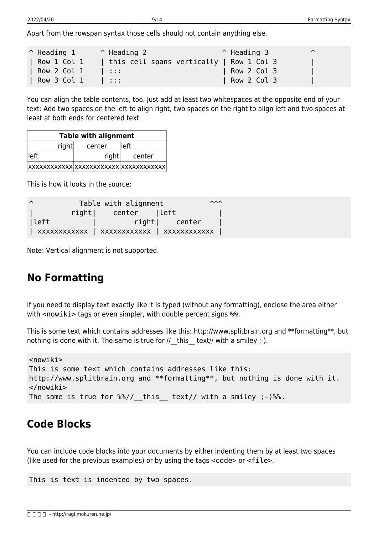Apart from the rowspan syntax those cells should not contain anything else.

| $^{\circ}$ Heading 1 | $^{\circ}$ Heading 2                     | $^{\circ}$ Heading 3 | $\lambda$ |
|----------------------|------------------------------------------|----------------------|-----------|
| Row 1 Col 1          | this cell spans vertically   Row 1 Col 3 |                      |           |
| Row 2 Col 1          | 4.                                       | Row 2 Col 3          |           |
| $\vert$ Row 3 Col 1  | $\mathcal{A}$ and $\mathcal{A}$          | Row 2 Col 3          |           |

You can align the table contents, too. Just add at least two whitespaces at the opposite end of your text: Add two spaces on the left to align right, two spaces on the right to align left and two spaces at least at both ends for centered text.

| <b>Table with alignment</b> |       |        |  |  |  |
|-----------------------------|-------|--------|--|--|--|
| right<br>lleft<br>center    |       |        |  |  |  |
| lleft                       | right | center |  |  |  |
|                             |       |        |  |  |  |

This is how it looks in the source:

| $\lambda$   | Table with alignment   | $\wedge\wedge\wedge$ |
|-------------|------------------------|----------------------|
|             | right <br>center  left |                      |
| <b>left</b> | right  center          |                      |
|             |                        |                      |

Note: Vertical alignment is not supported.

# **No Formatting**

If you need to display text exactly like it is typed (without any formatting), enclose the area either with <nowiki> tags or even simpler, with double percent signs %%.

This is some text which contains addresses like this: http://www.splitbrain.org and \*\*formatting\*\*, but nothing is done with it. The same is true for // this text// with a smiley ;-).

```
<nowiki>
This is some text which contains addresses like this:
http://www.splitbrain.org and **formatting**, but nothing is done with it.
</nowiki>
The same is true for \frac{1}{2} this text// with a smiley ;-) \frac{1}{2}.
```
# **Code Blocks**

You can include code blocks into your documents by either indenting them by at least two spaces (like used for the previous examples) or by using the tags <code> or <file>.

This is text is indented by two spaces.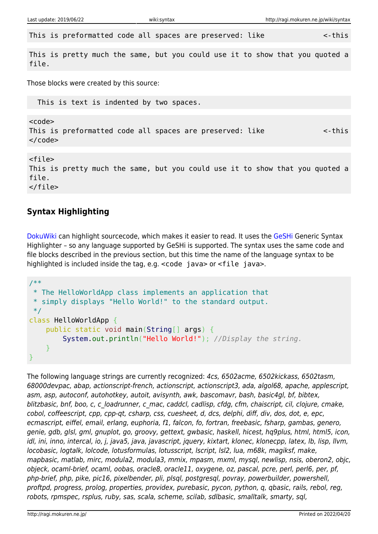This is preformatted code all spaces are preserved: like  $\sim$ -this

This is pretty much the same, but you could use it to show that you quoted a file.

Those blocks were created by this source:

This is text is indented by two spaces.

<code></code> This is preformatted code all spaces are preserved: like  $\leq$ -this  $\lt$ /code>

<file> This is pretty much the same, but you could use it to show that you quoted a file. </file>

### **Syntax Highlighting**

[DokuWiki](http://ragi.mokuren.ne.jp/wiki/dokuwiki) can highlight sourcecode, which makes it easier to read. It uses the [GeSHi](http://qbnz.com/highlighter/) Generic Syntax Highlighter – so any language supported by GeSHi is supported. The syntax uses the same code and file blocks described in the previous section, but this time the name of the language syntax to be highlighted is included inside the tag, e.g. <code java> or <file java>.

```
/**
 * The HelloWorldApp class implements an application that
 * simply displays "Hello World!" to the standard output.
 */
class HelloWorldApp {
     public static void main(String[] args) {
         System.out.println("Hello World!"); //Display the string.
     }
}
```
The following language strings are currently recognized: 4cs, 6502acme, 6502kickass, 6502tasm, 68000devpac, abap, actionscript-french, actionscript, actionscript3, ada, algol68, apache, applescript, asm, asp, autoconf, autohotkey, autoit, avisynth, awk, bascomavr, bash, basic4gl, bf, bibtex, blitzbasic, bnf, boo, c, c\_loadrunner, c\_mac, caddcl, cadlisp, cfdg, cfm, chaiscript, cil, clojure, cmake, cobol, coffeescript, cpp, cpp-qt, csharp, css, cuesheet, d, dcs, delphi, diff, div, dos, dot, e, epc, ecmascript, eiffel, email, erlang, euphoria, f1, falcon, fo, fortran, freebasic, fsharp, gambas, genero, genie, gdb, glsl, gml, gnuplot, go, groovy, gettext, gwbasic, haskell, hicest, hq9plus, html, html5, icon, idl, ini, inno, intercal, io, j, java5, java, javascript, jquery, kixtart, klonec, klonecpp, latex, lb, lisp, llvm, locobasic, logtalk, lolcode, lotusformulas, lotusscript, lscript, lsl2, lua, m68k, magiksf, make, mapbasic, matlab, mirc, modula2, modula3, mmix, mpasm, mxml, mysql, newlisp, nsis, oberon2, objc, objeck, ocaml-brief, ocaml, oobas, oracle8, oracle11, oxygene, oz, pascal, pcre, perl, perl6, per, pf, php-brief, php, pike, pic16, pixelbender, pli, plsql, postgresql, povray, powerbuilder, powershell, proftpd, progress, prolog, properties, providex, purebasic, pycon, python, q, qbasic, rails, rebol, reg, robots, rpmspec, rsplus, ruby, sas, scala, scheme, scilab, sdlbasic, smalltalk, smarty, sql,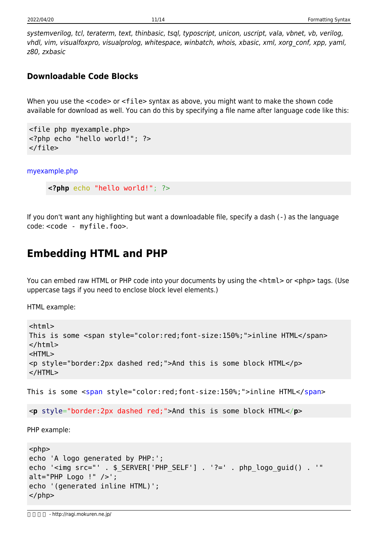systemverilog, tcl, teraterm, text, thinbasic, tsql, typoscript, unicon, uscript, vala, vbnet, vb, verilog, vhdl, vim, visualfoxpro, visualprolog, whitespace, winbatch, whois, xbasic, xml, xorg\_conf, xpp, yaml, z80, zxbasic

### **Downloadable Code Blocks**

When you use the <code> or <file> syntax as above, you might want to make the shown code available for download as well. You can do this by specifying a file name after language code like this:

```
<file php myexample.php>
<?php echo "hello world!"; ?>
</file>
```
[myexample.php](http://ragi.mokuren.ne.jp/_export/code/wiki/syntax?codeblock=6)

```
<?php echo "hello world!"; ?>
```
If you don't want any highlighting but want a downloadable file, specify a dash (-) as the language code: <code - myfile.foo>.

## **Embedding HTML and PHP**

You can embed raw HTML or PHP code into your documents by using the  $\alpha$ -html> or  $\alpha$  =php> tags. (Use uppercase tags if you need to enclose block level elements.)

HTML example:

```
<html>This is some <span style="color:red;font-size:150%;">inline HTML</span>
</html>
<HTML>
<p style="border:2px dashed red;">And this is some block HTML</p>
</HTML>
```
This is some [<span](http://december.com/html/4/element/span.html) style="color:red;font-size:150%;">inline HTML</[span](http://december.com/html/4/element/span.html)>

<**[p](http://december.com/html/4/element/p.html)** style="border:2px dashed red;">And this is some block HTML</**[p](http://december.com/html/4/element/p.html)**>

PHP example:

```
<php>echo 'A logo generated by PHP:';
echo '<img src="' . $_SERVER['PHP_SELF'] . '?=' . php_logo_guid() . '"
alt="PHP Logo !" />';
echo '(generated inline HTML)';
</php>
```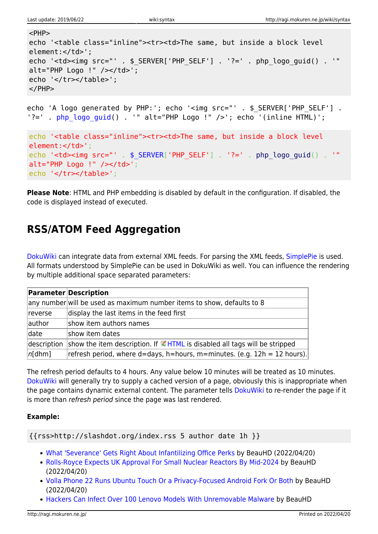```
<PHP>echo '<table class="inline"><tr><td>The same, but inside a block level
element:</td>';
echo '<td><img src="' . $ SERVER['PHP SELF'] . '?=' . php logo guid() .
alt="PHP Logo !" /></td>';
echo '</tr></table>';
</PHP>echo 'A logo generated by PHP:': echo '<img src="' . $ SERVER['PHP_SELF'] .
'?=' . php logo grid() . '" alt="PHP Logo !" />'; echo '(inline HTML)';
echo '<table class="inline"><tr><td>The same, but inside a block level
element:</td>';
echo '<td><img src="' . $ SERVER['PHP SELF'] . '?=' . php logo guid() . '"
alt="PHP Logo !" \frac{1}{5} /> </td>';
echo '</tr></table>';
```
**Please Note**: HTML and PHP embedding is disabled by default in the configuration. If disabled, the code is displayed instead of executed.

# **RSS/ATOM Feed Aggregation**

[DokuWiki](http://ragi.mokuren.ne.jp/wiki/dokuwiki) can integrate data from external XML feeds. For parsing the XML feeds, [SimplePie](http://simplepie.org/) is used. All formats understood by SimplePie can be used in DokuWiki as well. You can influence the rendering by multiple additional space separated parameters:

|             | <b>Parameter Description</b>                                                            |
|-------------|-----------------------------------------------------------------------------------------|
|             | any number will be used as maximum number items to show, defaults to 8                  |
| reverse     | display the last items in the feed first                                                |
| author      | show item authors names                                                                 |
| date        | show item dates                                                                         |
| description | show the item description. If $\blacksquare$ HTML is disabled all tags will be stripped |
| $ n[$ dhm]  | refresh period, where d=days, h=hours, m=minutes. (e.g. 12h = 12 hours).                |

The refresh period defaults to 4 hours. Any value below 10 minutes will be treated as 10 minutes. [DokuWiki](http://ragi.mokuren.ne.jp/wiki/dokuwiki) will generally try to supply a cached version of a page, obviously this is inappropriate when the page contains dynamic external content. The parameter tells [DokuWiki](http://ragi.mokuren.ne.jp/wiki/dokuwiki) to re-render the page if it is more than refresh period since the page was last rendered.

#### **Example:**

{{rss>http://slashdot.org/index.rss 5 author date 1h }}

- [What 'Severance' Gets Right About Infantilizing Office Perks](https://entertainment.slashdot.org/story/22/04/19/2145253/what-severance-gets-right-about-infantilizing-office-perks?utm_source=rss1.0mainlinkanon&utm_medium=feed) by BeauHD (2022/04/20)
- [Rolls-Royce Expects UK Approval For Small Nuclear Reactors By Mid-2024](https://hardware.slashdot.org/story/22/04/19/224211/rolls-royce-expects-uk-approval-for-small-nuclear-reactors-by-mid-2024?utm_source=rss1.0mainlinkanon&utm_medium=feed) by BeauHD (2022/04/20)
- [Volla Phone 22 Runs Ubuntu Touch Or a Privacy-Focused Android Fork Or Both](https://news.slashdot.org/story/22/04/19/2131242/volla-phone-22-runs-ubuntu-touch-or-a-privacy-focused-android-fork-or-both?utm_source=rss1.0mainlinkanon&utm_medium=feed) by BeauHD (2022/04/20)
- [Hackers Can Infect Over 100 Lenovo Models With Unremovable Malware](https://it.slashdot.org/story/22/04/19/2118232/hackers-can-infect-over-100-lenovo-models-with-unremovable-malware?utm_source=rss1.0mainlinkanon&utm_medium=feed) by BeauHD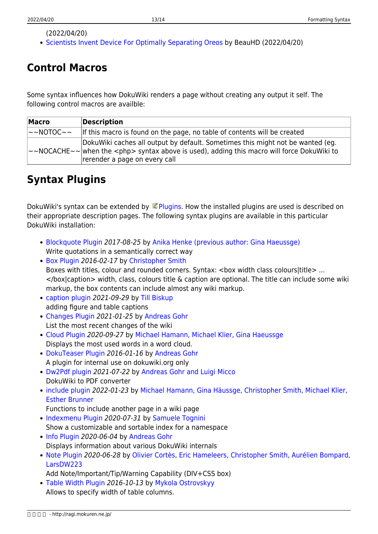### (2022/04/20)

• [Scientists Invent Device For Optimally Separating Oreos](https://science.slashdot.org/story/22/04/19/217242/scientists-invent-device-for-optimally-separating-oreos?utm_source=rss1.0mainlinkanon&utm_medium=feed) by BeauHD (2022/04/20)

# **Control Macros**

Some syntax influences how DokuWiki renders a page without creating any output it self. The following control macros are availble:

| <b>Macro</b>               | Description                                                                                                                                                                                                                         |
|----------------------------|-------------------------------------------------------------------------------------------------------------------------------------------------------------------------------------------------------------------------------------|
| $\sim$ NOTOC $\sim$ $\sim$ | If this macro is found on the page, no table of contents will be created                                                                                                                                                            |
|                            | DokuWiki caches all output by default. Sometimes this might not be wanted (eg.<br>$\sim$ NOCACHE $\sim$ $\sim$ when the $\lt$ php> syntax above is used), adding this macro will force DokuWiki to<br>rerender a page on every call |

# **Syntax Plugins**

DokuWiki's syntax can be extended by  $\leq$  [Plugins.](https://www.dokuwiki.org/plugins) How the installed plugins are used is described on their appropriate description pages. The following syntax plugins are available in this particular DokuWiki installation:

- [Blockquote Plugin](https://www.dokuwiki.org/plugin:blockquote) 2017-08-25 by [Anika Henke \(previous author: Gina Haeussge\)](mailto:anika@selfthinker.org) Write quotations in a semantically correct way
- [Box Plugin](http://dokuwiki.org/plugin:box) 2016-02-17 by [Christopher Smith](mailto:chris@jalakai.co.uk) Boxes with titles, colour and rounded corners. Syntax: <box width class colours|title> ...  $\lt$ /box|caption> width, class, colours title & caption are optional. The title can include some wiki markup, the box contents can include almost any wiki markup.
- [caption plugin](http://till-biskup.de/de/software/dokuwiki/caption) 2021-09-29 by [Till Biskup](#page--1-0) adding figure and table captions
- [Changes Plugin](http://www.dokuwiki.org/plugin:changes) 2021-01-25 by [Andreas Gohr](mailto:dokuwiki@cosmocode.de) List the most recent changes of the wiki
- [Cloud Plugin](http://www.dokuwiki.org/plugin:cloud) 2020-09-27 by [Michael Hamann, Michael Klier, Gina Haeussge](mailto:michael@content-space.de) Displays the most used words in a word cloud.
- [DokuTeaser Plugin](http://dokuwiki.org/) 2016-01-16 by [Andreas Gohr](mailto:andi@splitbrain.org) A plugin for internal use on dokuwiki.org only
- [Dw2Pdf plugin](https://www.dokuwiki.org/plugin:dw2pdf) 2021-07-22 by [Andreas Gohr and Luigi Micco](mailto:l.micco@tiscali.it) DokuWiki to PDF converter
- [include plugin](http://dokuwiki.org/plugin:include) 2022-01-23 by [Michael Hamann, Gina Häussge, Christopher Smith, Michael Klier,](mailto:michael@content-space.de) [Esther Brunner](mailto:michael@content-space.de)
	- Functions to include another page in a wiki page
- [Indexmenu Plugin](https://www.dokuwiki.org/plugin:indexmenu) 2020-07-31 by [Samuele Tognini](mailto:samuele@samuele.netsons.org) Show a customizable and sortable index for a namespace
- [Info Plugin](http://dokuwiki.org/plugin:info) 2020-06-04 by [Andreas Gohr](mailto:andi@splitbrain.org) Displays information about various DokuWiki internals
- [Note Plugin](https://www.dokuwiki.org/plugin:note) 2020-06-28 by [Olivier Cortès, Eric Hameleers, Christopher Smith, Aurélien Bompard,](mailto:olive@deep-ocean.net) [LarsDW223](mailto:olive@deep-ocean.net)

Add Note/Important/Tip/Warning Capability (DIV+CSS box)

[Table Width Plugin](http://www.dokuwiki.org/plugin:tablewidth) 2016-10-13 by [Mykola Ostrovskyy](mailto:spambox03@mail.ru) Allows to specify width of table columns.